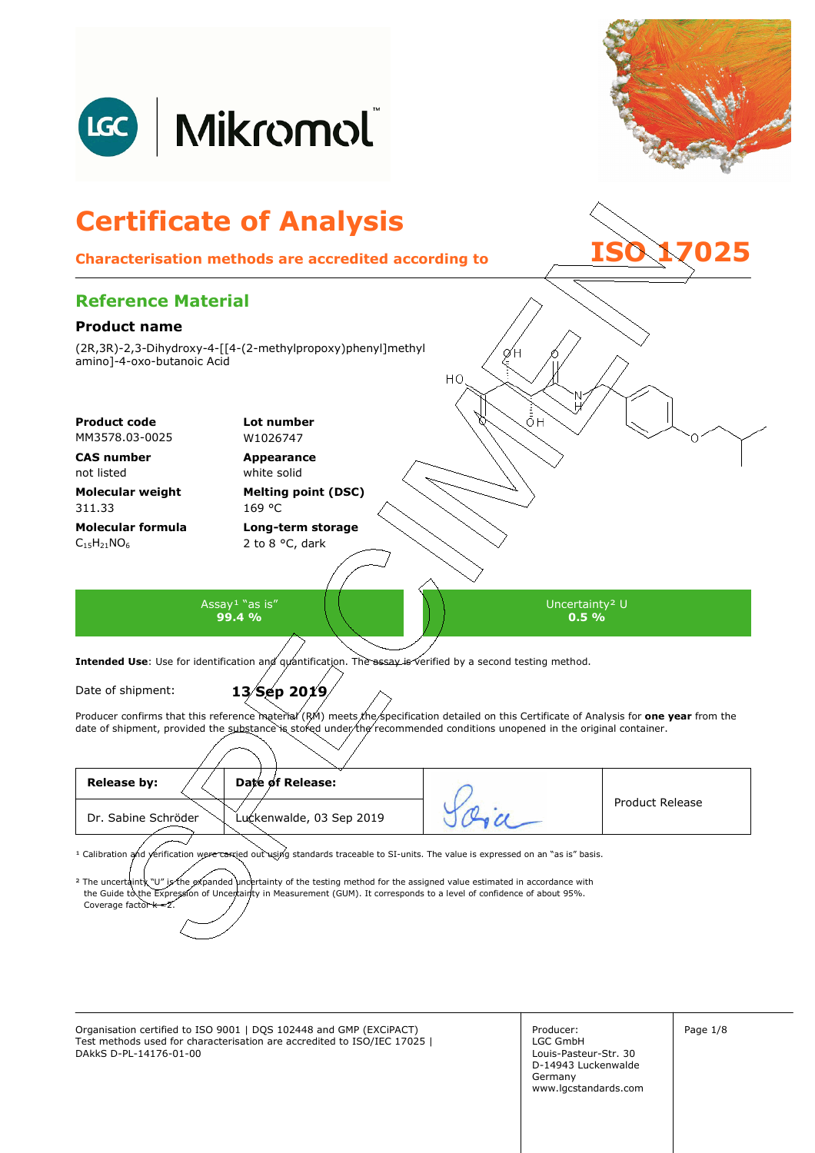

Organisation certified to ISO 9001 | DQS 102448 and GMP (EXCiPACT) Producer: Page 1/8 Test methods used for characterisation are accredited to ISO/IEC 17025 | DAkkS D-PL-14176-01-00

Producer: LGC GmbH Louis-Pasteur-Str. 30 D-14943 Luckenwalde Germany www.lgcstandards.com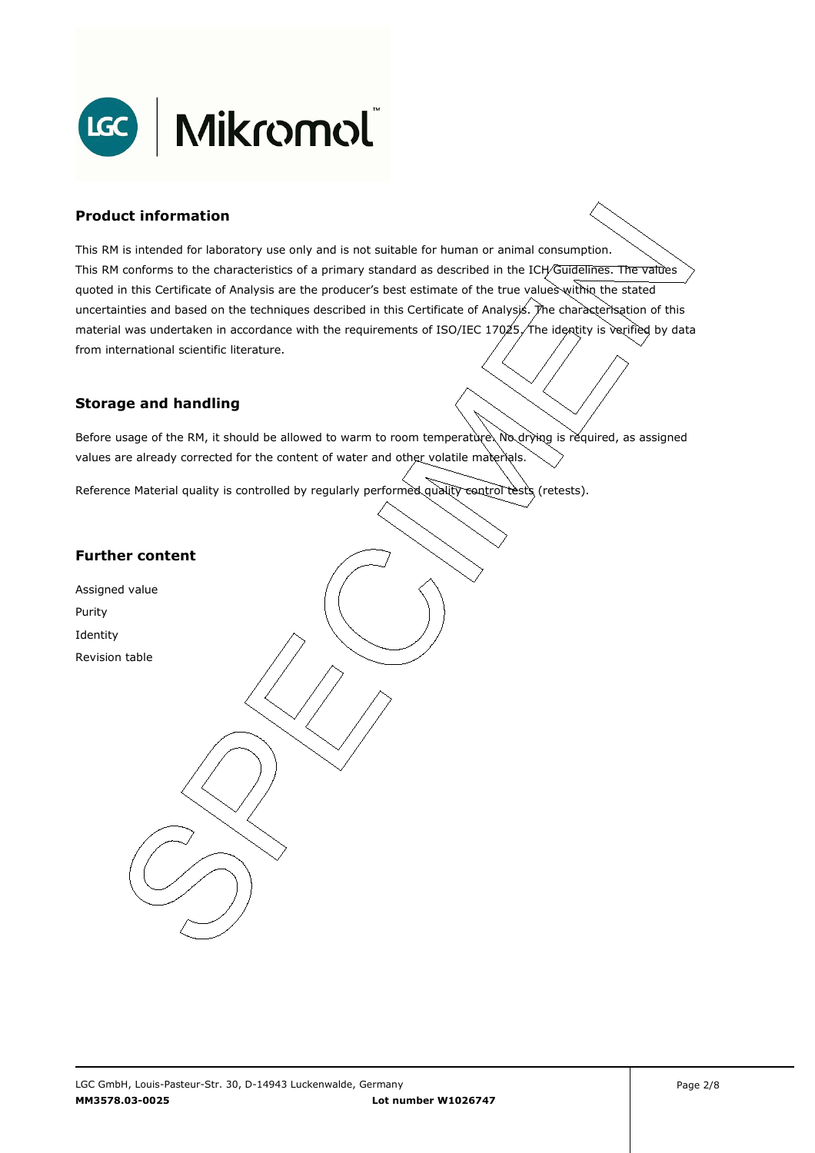

### **Product information**

This RM is intended for laboratory use only and is not suitable for human or animal consumption. This RM conforms to the characteristics of a primary standard as described in the ICH/Guidelines. The values quoted in this Certificate of Analysis are the producer's best estimate of the true values within the stated uncertainties and based on the techniques described in this Certificate of Analysis. The characterisation of this material was undertaken in accordance with the requirements of ISO/IEC 17025, The identity is verified by data . from international scientific literature.

### **Storage and handling**

Before usage of the RM, it should be allowed to warm to room temperature. No drying is required, as assigned values are already corrected for the content of water and other volatile materials.

Reference Material quality is controlled by regularly performed quality control tests (retests).

### **Further content**

Assigned value Purity Identity Revision table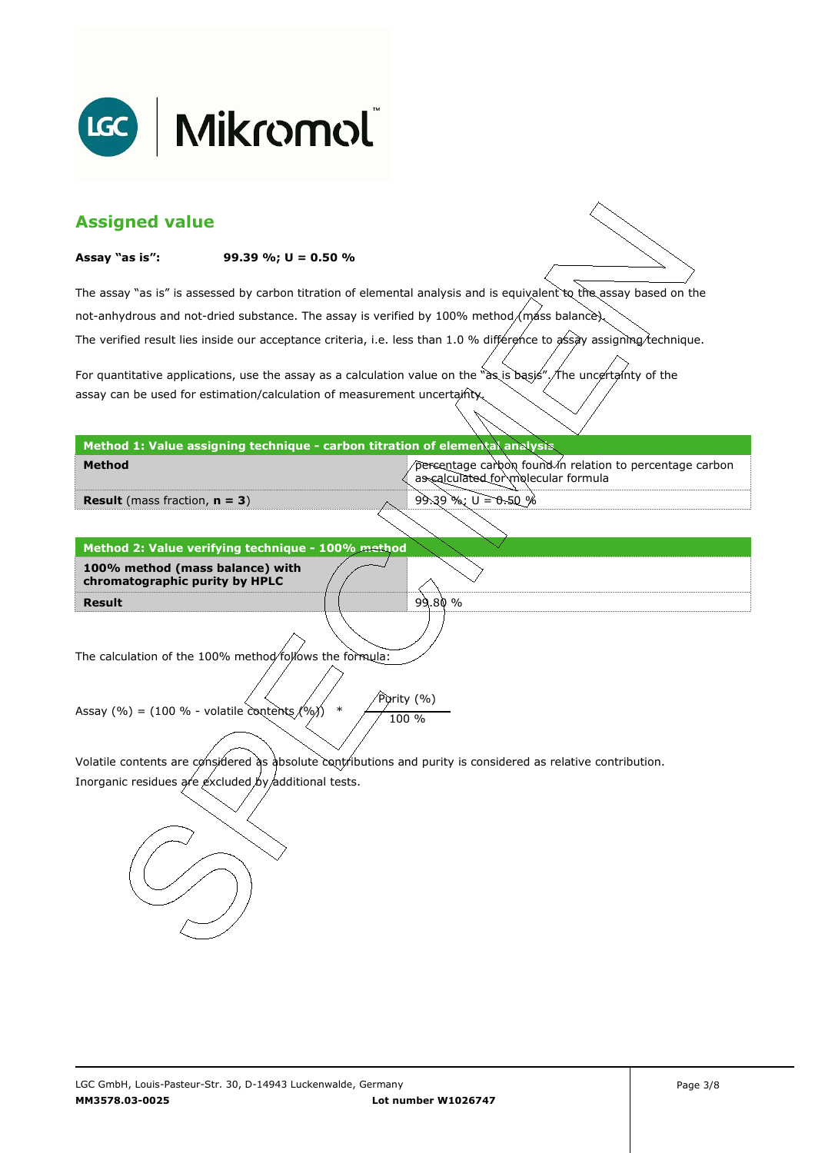

| <b>Assigned value</b>                                                                                         |                                                                              |                                                                                                                        |  |  |
|---------------------------------------------------------------------------------------------------------------|------------------------------------------------------------------------------|------------------------------------------------------------------------------------------------------------------------|--|--|
| Assay "as is":                                                                                                | 99.39 %; $U = 0.50$ %                                                        |                                                                                                                        |  |  |
|                                                                                                               |                                                                              | The assay "as is" is assessed by carbon titration of elemental analysis and is equivalent to the assay based on the    |  |  |
|                                                                                                               |                                                                              | not-anhydrous and not-dried substance. The assay is verified by 100% method/mass balance).                             |  |  |
|                                                                                                               |                                                                              | The verified result lies inside our acceptance criteria, i.e. less than 1.0 % difference to assay assigning technique. |  |  |
|                                                                                                               |                                                                              | For quantitative applications, use the assay as a calculation value on the "as is basis". The uncertainty of the       |  |  |
|                                                                                                               | assay can be used for estimation/calculation of measurement uncertainty      |                                                                                                                        |  |  |
|                                                                                                               | Method 1: Value assigning technique - carbon titration of elemental analysis |                                                                                                                        |  |  |
| <b>Method</b>                                                                                                 |                                                                              | percentage carbon found in relation to percentage carbon<br>as calculated for molecular formula                        |  |  |
| <b>Result</b> (mass fraction, $n = 3$ )                                                                       |                                                                              | $99.39$ %; $U = 0.50$ %                                                                                                |  |  |
|                                                                                                               |                                                                              |                                                                                                                        |  |  |
|                                                                                                               | Method 2: Value verifying technique - 100% method                            |                                                                                                                        |  |  |
| 100% method (mass balance) with<br>chromatographic purity by HPLC                                             |                                                                              |                                                                                                                        |  |  |
| <b>Result</b>                                                                                                 |                                                                              | 99.80 %                                                                                                                |  |  |
|                                                                                                               |                                                                              |                                                                                                                        |  |  |
|                                                                                                               |                                                                              |                                                                                                                        |  |  |
| The calculation of the 100% method/follows the formula:                                                       |                                                                              |                                                                                                                        |  |  |
|                                                                                                               |                                                                              |                                                                                                                        |  |  |
| Purity (%)<br>Assay (%) = (100 % - volatile contents $(%)$<br>$\ast$<br>100 %                                 |                                                                              |                                                                                                                        |  |  |
|                                                                                                               |                                                                              |                                                                                                                        |  |  |
| Volatile contents are considered as absolute contributions and purity is considered as relative contribution. |                                                                              |                                                                                                                        |  |  |
| Inorganic residues are excluded by additional tests.                                                          |                                                                              |                                                                                                                        |  |  |
|                                                                                                               |                                                                              |                                                                                                                        |  |  |
|                                                                                                               |                                                                              |                                                                                                                        |  |  |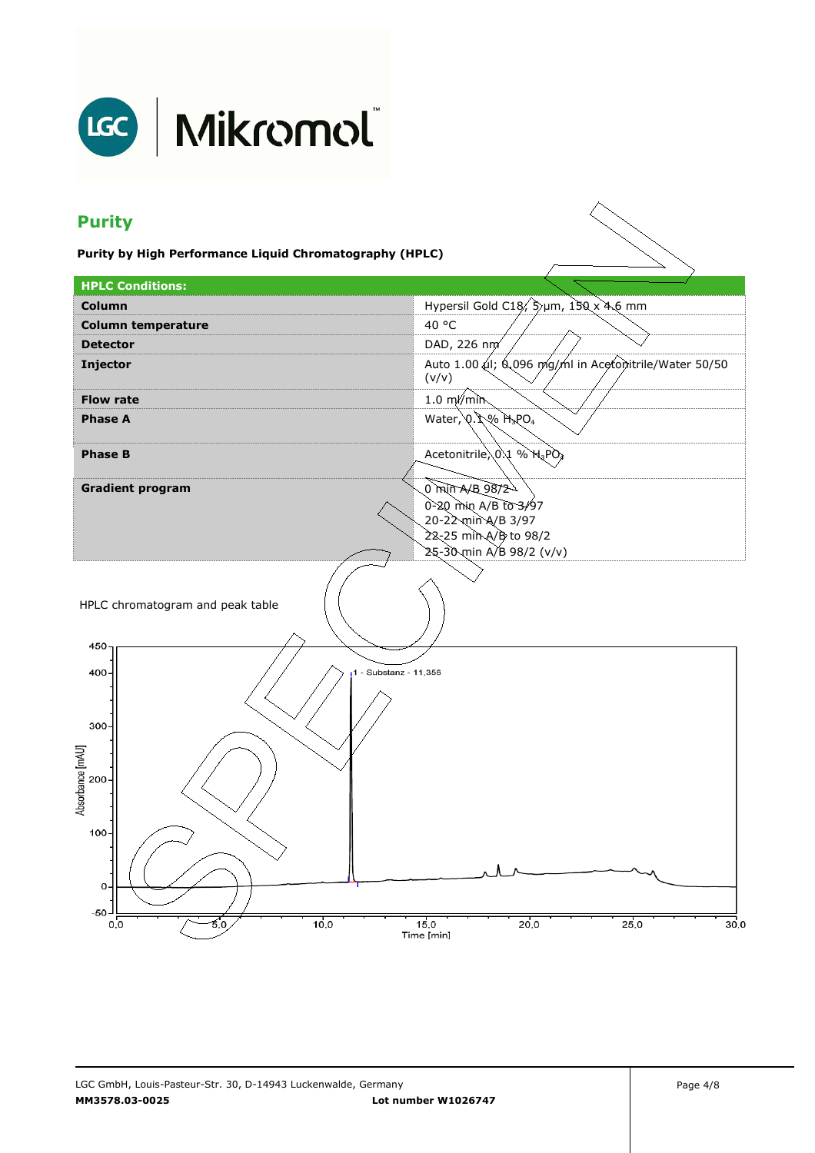

# LGC | Mikromol

## **Purity**

**Purity by High Performance Liquid Chromatography (HPLC)** 

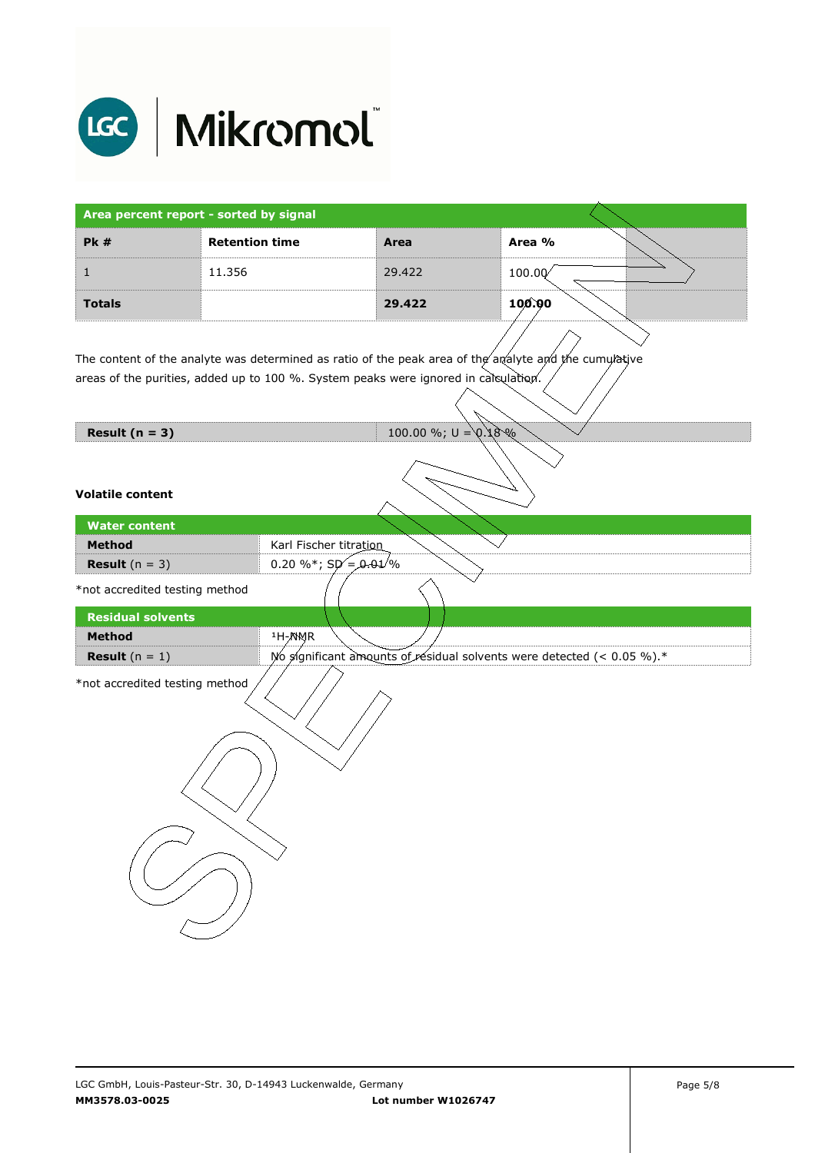

| Area percent report - sorted by signal |                       |        |        |
|----------------------------------------|-----------------------|--------|--------|
| PK#                                    | <b>Retention time</b> | Area   | Area % |
|                                        | 11.356                | 29.422 | 100.00 |
| <b>Totals</b>                          |                       | 29.422 | 100.00 |

The content of the analyte was determined as ratio of the peak area of the analyte and the cumulative areas of the purities, added up to 100 %. System peaks were ignored in calculation.

**Result (n = 3)** 100.00 %; U = 0.18 %

### **Volatile content**

| <b>Water content</b>           |                                                                           |
|--------------------------------|---------------------------------------------------------------------------|
| <b>Method</b>                  | Karl Fischer titration                                                    |
| <b>Result</b> $(n = 3)$        | 0.20 %*; $Sp = 0.01\%$                                                    |
| *not accredited testing method |                                                                           |
| <b>Residual solvents</b>       |                                                                           |
| <b>Method</b>                  | <sup>1</sup> H-NMR                                                        |
| <b>Result</b> $(n = 1)$        | No significant amounts of residual solvents were detected (< $0.05\%$ ).* |
| *not accredited testing method |                                                                           |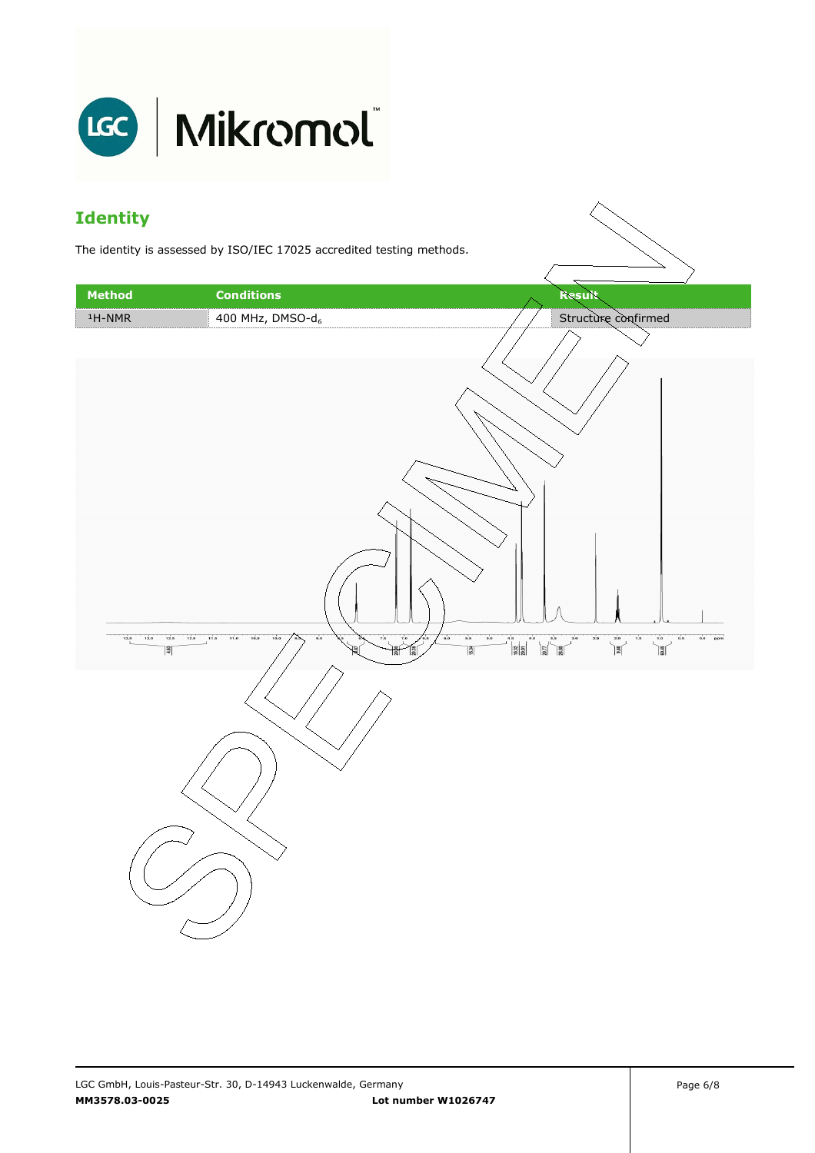

### **Identity**

The identity is assessed by ISO/IEC 17025 accredited testing methods.

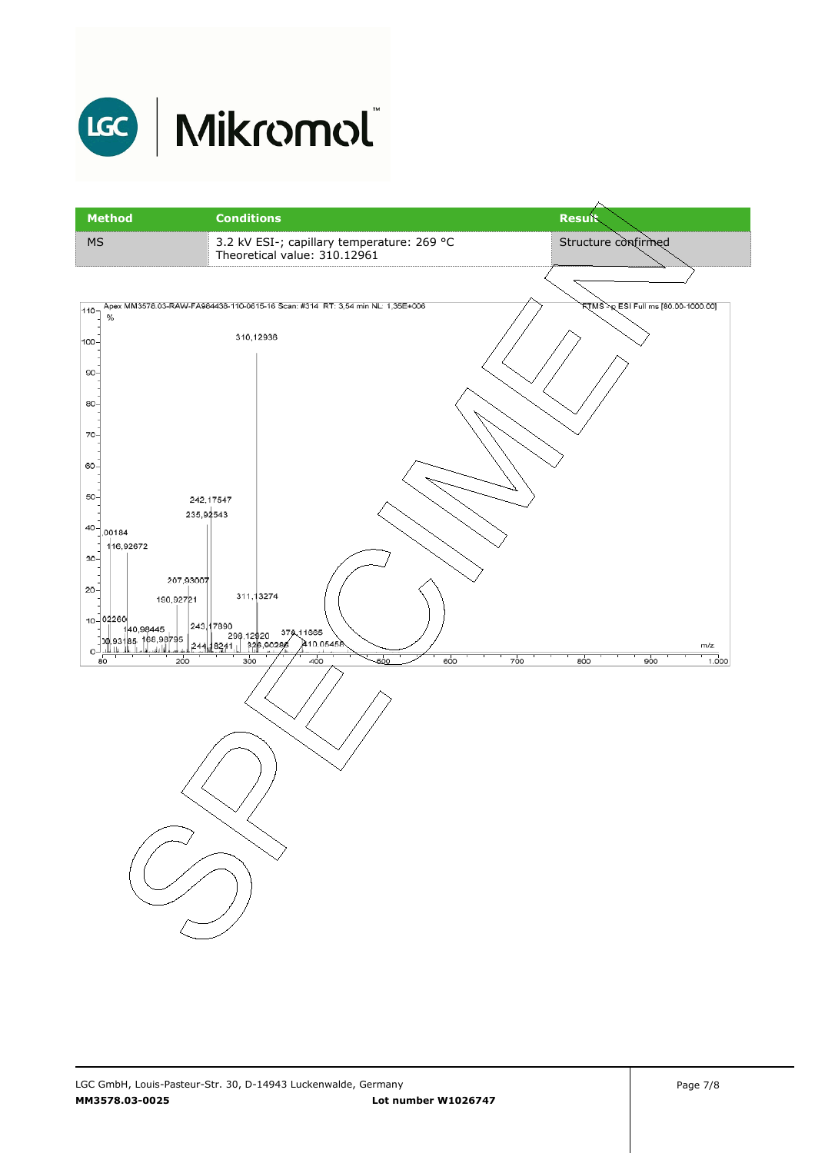

# LGC | Mikromol